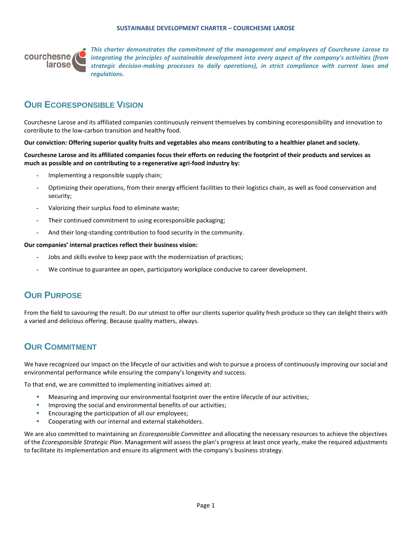#### **SUSTAINABLE DEVELOPMENT CHARTER – COURCHESNE LAROSE**



*This charter demonstrates the commitment of the management and employees of Courchesne Larose to integrating the principles of sustainable development into every aspect of the company's activities (from strategic decision-making processes to daily operations), in strict compliance with current laws and regulations.*

## **OUR ECORESPONSIBLE VISION**

Courchesne Larose and its affiliated companies continuously reinvent themselves by combining ecoresponsibility and innovation to contribute to the low-carbon transition and healthy food.

**Our conviction: Offering superior quality fruits and vegetables also means contributing to a healthier planet and society.**

**Courchesne Larose and its affiliated companies focus their efforts on reducing the footprint of their products and services as much as possible and on contributing to a regenerative agri-food industry by:** 

- Implementing a responsible supply chain;
- Optimizing their operations, from their energy efficient facilities to their logistics chain, as well as food conservation and security;
- Valorizing their surplus food to eliminate waste;
- Their continued commitment to using ecoresponsible packaging;
- And their long-standing contribution to food security in the community.

#### **Our companies' internal practices reflect their business vision:**

- Jobs and skills evolve to keep pace with the modernization of practices;
- We continue to guarantee an open, participatory workplace conducive to career development.

### **OUR PURPOSE**

From the field to savouring the result. Do our utmost to offer our clients superior quality fresh produce so they can delight theirs with a varied and delicious offering. Because quality matters, always.

## **OUR COMMITMENT**

We have recognized our impact on the lifecycle of our activities and wish to pursue a process of continuously improving our social and environmental performance while ensuring the company's longevity and success.

To that end, we are committed to implementing initiatives aimed at:

- **■** Measuring and improving our environmental footprint over the entire lifecycle of our activities;
- Improving the social and environmental benefits of our activities;
- Encouraging the participation of all our employees;
- Cooperating with our internal and external stakeholders.

We are also committed to maintaining an *Ecoresponsible Committee* and allocating the necessary resources to achieve the objectives of the *Ecoresponsible Strategic Plan*. Management will assess the plan's progress at least once yearly, make the required adjustments to facilitate its implementation and ensure its alignment with the company's business strategy.